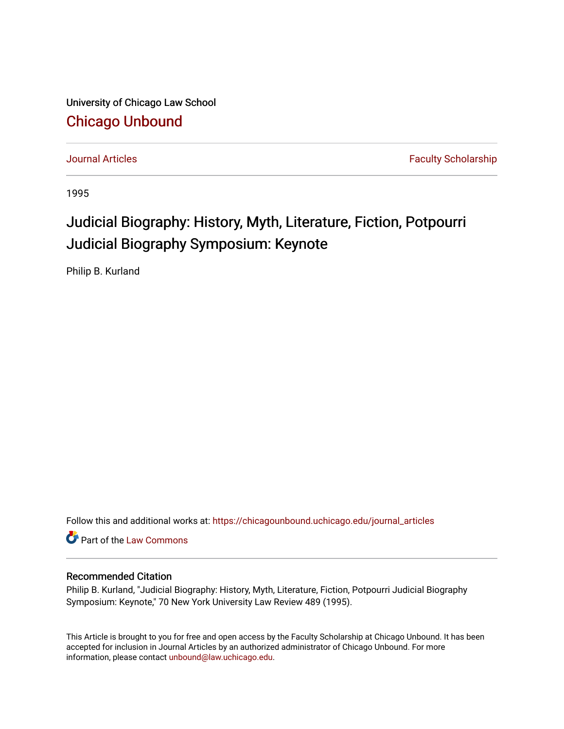University of Chicago Law School [Chicago Unbound](https://chicagounbound.uchicago.edu/)

[Journal Articles](https://chicagounbound.uchicago.edu/journal_articles) **Faculty Scholarship Journal Articles** 

1995

# Judicial Biography: History, Myth, Literature, Fiction, Potpourri Judicial Biography Symposium: Keynote

Philip B. Kurland

Follow this and additional works at: [https://chicagounbound.uchicago.edu/journal\\_articles](https://chicagounbound.uchicago.edu/journal_articles?utm_source=chicagounbound.uchicago.edu%2Fjournal_articles%2F7927&utm_medium=PDF&utm_campaign=PDFCoverPages) 

Part of the [Law Commons](http://network.bepress.com/hgg/discipline/578?utm_source=chicagounbound.uchicago.edu%2Fjournal_articles%2F7927&utm_medium=PDF&utm_campaign=PDFCoverPages)

## Recommended Citation

Philip B. Kurland, "Judicial Biography: History, Myth, Literature, Fiction, Potpourri Judicial Biography Symposium: Keynote," 70 New York University Law Review 489 (1995).

This Article is brought to you for free and open access by the Faculty Scholarship at Chicago Unbound. It has been accepted for inclusion in Journal Articles by an authorized administrator of Chicago Unbound. For more information, please contact [unbound@law.uchicago.edu](mailto:unbound@law.uchicago.edu).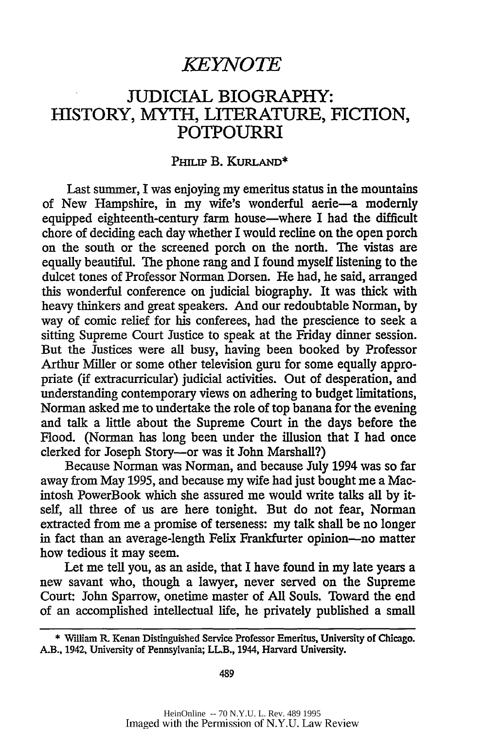# JUDICIAL BIOGRAPHY: HISTORY, MYTH, LITERATURE, FICTION, POTPOURRI

### PHILIP B. KURLAND\*

Last summer, I was enjoying my emeritus status in the mountains of New Hampshire, in my wife's wonderful aerie-a modernly equipped eighteenth-century farm house-where I had the difficult chore of deciding each day whether I would recline on the open porch on the south or the screened porch on the north. The vistas are equally beautiful. The phone rang and I found myself listening to the dulcet tones of Professor Norman Dorsen. He had, he said, arranged this wonderful conference on judicial biography. It was thick with heavy thinkers and great speakers. And our redoubtable Norman, by way of comic relief for his conferees, had the prescience to seek a sitting Supreme Court Justice to speak at the Friday dinner session. But the Justices were all busy, having been booked by Professor Arthur Miller or some other television guru for some equally appropriate (if extracurricular) judicial activities. Out of desperation, and understanding contemporary views on adhering to budget limitations, Norman asked me to undertake the role of top banana for the evening and talk a little about the Supreme Court in the days before the Flood. (Norman has long been under the illusion that I had once clerked for Joseph Story-or was it John Marshall?)

Because Norman was Norman, and because July 1994 was so far away from May 1995, and because my wife had just bought me a Macintosh PowerBook which she assured me would write talks all by itself, all three of us are here tonight. But do not fear, Norman extracted from me a promise of terseness: my talk shall be no longer in fact than an average-length Felix Frankfurter opinion-no matter how tedious it may seem.

Let me tell you, as an aside, that I have found in my late years a new savant who, though a lawyer, never served on the Supreme Court: John Sparrow, onetime master of All Souls. Toward the end of an accomplished intellectual life, he privately published a small

489

<sup>\*</sup> William R. Kenan Distinguished Service Professor Emeritus, University of Chicago. A.B., 1942, University of Pennsylvania; LL.B., 1944, Harvard University.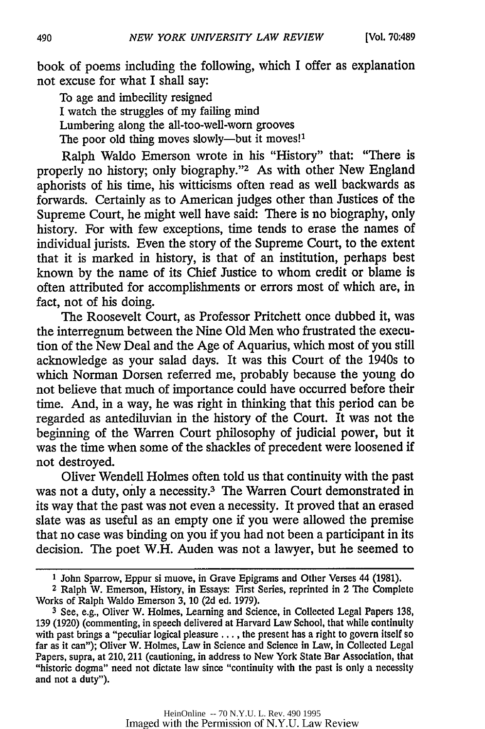book of poems including the following, which I offer as explanation not excuse for what I shall say:

To age and imbecility resigned I watch the struggles of my failing mind Lumbering along the all-too-well-worn grooves The poor old thing moves slowly—but it moves!<sup>1</sup>

Ralph Waldo Emerson wrote in his "History" that: "There is properly no history; only biography."<sup>2</sup> As with other New England aphorists of his time, his witticisms often read as well backwards as forwards. Certainly as to American judges other than Justices of the Supreme Court, he might well have said: There is no biography, only history. For with few exceptions, time tends to erase the names of individual jurists. Even the story of the Supreme Court, to the extent that it is marked in history, is that of an institution, perhaps best known by the name of its Chief Justice to whom credit or blame is often attributed for accomplishments or errors most of which are, in fact, not of his doing.

The Roosevelt Court, as Professor Pritchett once dubbed it, was the interregnum between the Nine Old Men who frustrated the execution of the New Deal and the Age of Aquarius, which most of you still acknowledge as your salad days. It was this Court of the 1940s to which Norman Dorsen referred me, probably because the young do not believe that much of importance could have occurred before their time. And, in a way, he was right in thinking that this period can be regarded as antediluvian in the history of the Court. It was not the beginning of the Warren Court philosophy of judicial power, but it was the time when some of the shackles of precedent were loosened if not destroyed.

Oliver Wendell Holmes often told us that continuity with the past was not a duty, only a necessity.<sup>3</sup> The Warren Court demonstrated in its way that the past was not even a necessity. It proved that an erased slate was as useful as an empty one if you were allowed the premise that no case was binding on you if you had not been a participant in its decision. The poet W.H. Auden was not a lawyer, but he seemed to

**<sup>1</sup>** John Sparrow, Eppur si muove, in Grave Epigrams and Other Verses 44 (1981).

**<sup>2</sup>** Ralph W. Emerson, History, in Essays: First Series, reprinted in 2 The Complete Works of Ralph Waldo Emerson 3, 10 (2d ed. 1979).

**<sup>3</sup>** See, e.g., Oliver W. Holmes, Learning and Science, in Collected Legal Papers 138, 139 (1920) (commenting, in speech delivered at Harvard Law School, that while continuity with past brings a "peculiar logical pleasure ..., the present has a right to govern itself so far as it can"); Oliver W. Holmes, Law in Science and Science in Law, in Collected Legal Papers, supra, at 210, 211 (cautioning, in address to New York State Bar Association, that "historic dogma" need not dictate law since "continuity with the past is only a necessity and not a duty").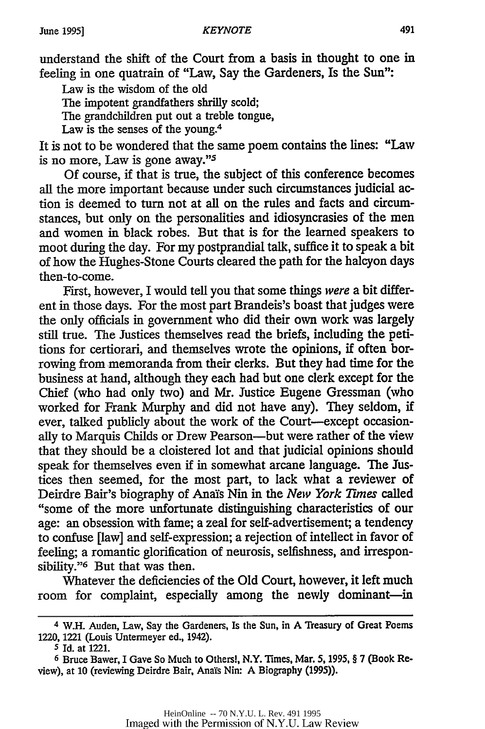understand the shift of the Court from a basis in thought to one in feeling in one quatrain of "Law, Say the Gardeners, Is the Sun":

Law is the wisdom of the old

The impotent grandfathers shrilly scold;

The grandchildren put out a treble tongue,

Law is the senses of the young.<sup>4</sup>

It is not to be wondered that the same poem contains the lines: "Law is no more, Law is gone away."5

Of course, if that is true, the subject of this conference becomes all the more important because under such circumstances judicial action is deemed to turn not at all on the rules and facts and circumstances, but only on the personalities and idiosyncrasies of the men and women in black robes. But that is for the learned speakers to moot during the day. For my postprandial talk, suffice it to speak a bit of how the Hughes-Stone Courts cleared the path for the halcyon days then-to-come.

First, however, I would tell you that some things *were* a bit different in those days. For the most part Brandeis's boast that judges were the only officials in government who did their own work was largely still true. The Justices themselves read the briefs, including the petitions for certiorari, and themselves wrote the opinions, if often borrowing from memoranda from their clerks. But they had time for the business at hand, although they each had but one clerk except for the Chief (who had only two) and Mr. Justice Eugene Gressman (who worked for Frank Murphy and did not have any). They seldom, if ever, talked publicly about the work of the Court-except occasionally to Marquis Childs or Drew Pearson-but were rather of the view that they should be a cloistered lot and that judicial opinions should speak for themselves even if in somewhat arcane language. The Justices then seemed, for the most part, to lack what a reviewer of Deirdre Bair's biography of Anals Nin in the *New York Tunes* called "some of the more unfortunate distinguishing characteristics of our age: an obsession with fame; a zeal for self-advertisement; a tendency to confuse [law] and self-expression; a rejection of intellect in favor of feeling; a romantic glorification of neurosis, selfishness, and irresponsibility."<sup>6</sup> But that was then.

Whatever the deficiencies of the Old Court, however, it left much room for complaint, especially among the newly dominant-in

<sup>4</sup> W.H. Auden, Law, Say the Gardeners, Is the Sun, in A Treasury of Great Poems 1220, 1221 (Louis Untermeyer ed., 1942).

<sup>5</sup>Id. at 1221.

<sup>6</sup> Bruce Bawer, I Gave So Much to Others!, N.Y. Times, Mar. **5,** 1995, § 7 (Book Review), at 10 (reviewing Deirdre Bair, Ana's Nin: A Biography (1995)).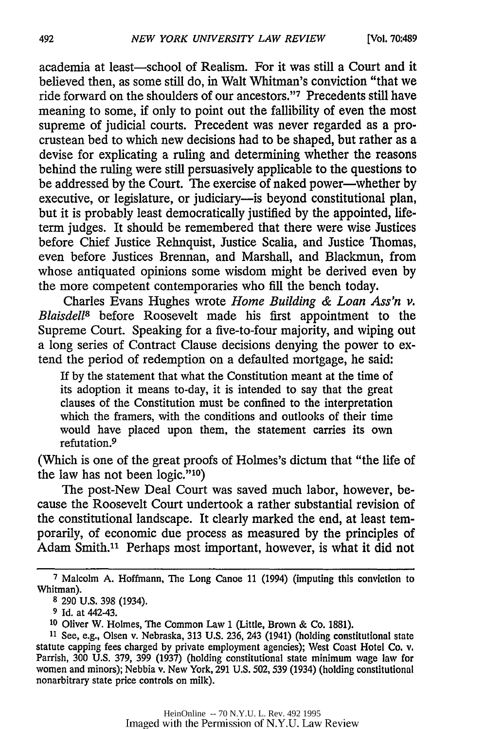academia at least-school of Realism. For it was still a Court and it believed then, as some still do, in Walt Whitman's conviction "that we ride forward on the shoulders of our ancestors."'7 Precedents still have meaning to some, if only to point out the fallibility of even the most supreme of judicial courts. Precedent was never regarded as a procrustean bed to which new decisions had to be shaped, but rather as a devise for explicating a ruling and determining whether the reasons behind the ruling were still persuasively applicable to the questions to be addressed by the Court. The exercise of naked power—whether by executive, or legislature, or judiciary—is beyond constitutional plan, but it is probably least democratically justified by the appointed, lifeterm judges. It should be remembered that there were vise Justices before Chief Justice Rehnquist, Justice Scalia, and Justice Thomas, even before Justices Brennan, and Marshall, and Blackmun, from whose antiquated opinions some wisdom might be derived even by the more competent contemporaries who **fill** the bench today.

Charles Evans Hughes wrote *Home Building & Loan Ass'n v. Blaisdell8* before Roosevelt made his first appointment to the Supreme Court. Speaking for a five-to-four majority, and wiping out a long series of Contract Clause decisions denying the power to extend the period of redemption on a defaulted mortgage, he said:

If by the statement that what the Constitution meant at the time of its adoption it means to-day, it is intended to say that the great clauses of the Constitution must be confined to the interpretation which the framers, with the conditions and outlooks of their time would have placed upon them, the statement carries its own refutation.<sup>9</sup>

(Which is one of the great proofs of Holmes's dictum that "the life of the law has not been logic."<sup>10</sup>)

The post-New Deal Court was saved much labor, however, because the Roosevelt Court undertook a rather substantial revision of the constitutional landscape. It clearly marked the end, at least temporarily, of economic due process as measured by the principles of Adam Smith.<sup>11</sup> Perhaps most important, however, is what it did not

**7** Malcolm A. Hoffmann, **The** Long Canoe 11 (1994) (imputing this conviction to Whitman).

**<sup>8</sup>** 290 U.S. 398 (1934).

**<sup>9</sup>** Id. at 442-43.

**<sup>10</sup>**Oliver W. Holmes, The Common Law 1 (Little, Brown & Co. 1881).

<sup>&</sup>lt;sup>11</sup> See, e.g., Olsen v. Nebraska, 313 U.S. 236, 243 (1941) (holding constitutional state statute capping fees charged by private employment agencies); West Coast Hotel Co. v. Parrish, 300 U.S. 379, 399 (1937) (holding constitutional state minimum wage law for women and minors); Nebbia v. New York, 291 U.S. 502,539 (1934) (holding constitutional nonarbitrary state price controls on milk).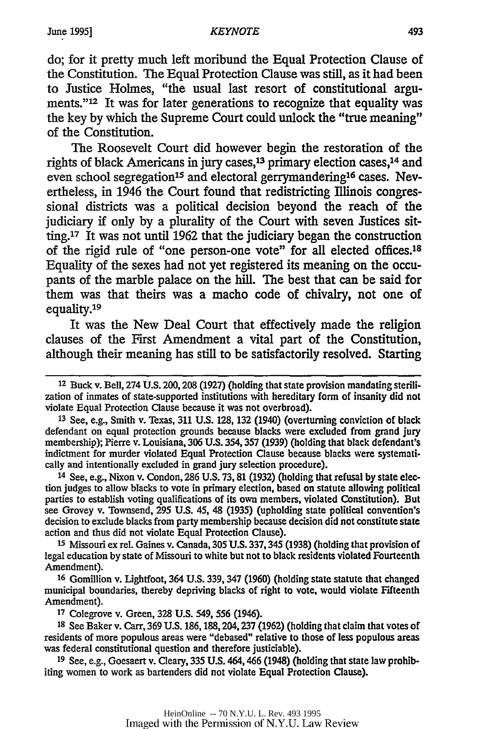do; for it pretty much left moribund the Equal Protection Clause of the Constitution. The Equal Protection Clause was still, as it had been to Justice Holmes, "the usual last resort of constitutional arguments."<sup>12</sup> It was for later generations to recognize that equality was the key **by** which the Supreme Court could unlock the "true meaning" of the Constitution.

The Roosevelt Court did however begin the restoration of the rights of black Americans in jury cases,<sup>13</sup> primary election cases,<sup>14</sup> and even school segregation<sup>15</sup> and electoral gerrymandering<sup>16</sup> cases. Nevertheless, in 1946 the Court found that redistricting Illinois congressional districts was a political decision beyond the reach of the judiciary if only by a plurality of the Court with seven Justices sitting.<sup>17</sup> It was not until 1962 that the judiciary began the construction of the rigid rule of "one person-one vote" for all elected offices.18 Equality of the sexes had not yet registered its meaning on the occupants of the marble palace on the hill. The best that can be said for them was that theirs was a macho code of chivalry, not one of equality.<sup>19</sup>

It was the New Deal Court that effectively made the religion clauses of the First Amendment a vital part of the Constitution, although their meaning has still to be satisfactorily resolved. Starting

**<sup>13</sup>**See, e.g., Smith v. Texas, 311 U.S. 128, 132 (1940) (overturning conviction of black defendant on equal protection grounds because blacks were excluded from grand jury membership); Pierre v. Louisiana, 306 U.S. 354,357 (1939) (holding that black defendant's indictment for murder violated Equal Protection Clause because blacks were systematically and intentionally excluded in grand jury selection procedure).

14 See, e.g., Nixon v. Condon, 286 U.S. 73, 81 (1932) (holding that refusal by state election judges to allow blacks to vote in primary election, based on statute allowing political parties to establish voting qualifications of its own members, violated Constitution). But see Grovey v. Townsend, 295 U.S. 45, 48 (1935) (upholding state political convention's decision to exclude blacks from party membership because decision did not constitute state action and thus did not violate Equal Protection Clause).

**<sup>15</sup>**Missouri ex rel. Gaines v. Canada, 305 U.S. 337,345 (1938) (holding that provision of legal education by state of Missouri to white but not to black residents violated Fourteenth Amendment).

**<sup>16</sup>**Gomillion v. Lightfoot, 364 U.S. 339, 347 (1960) (holding state statute that changed municipal boundaries, thereby depriving blacks of right to vote, would violate Fifteenth Amendment).

**<sup>17</sup>**Colegrove v. Green, 328 U.S. 549, 556 (1946).

**<sup>18</sup>**See Baker v. Carr, 369 U.S. 186,188,204,237 (1962) (holding that claim that votes of residents of more populous areas were "debased" relative to those of less populous areas was federal constitutional question and therefore justiciable).

**19** See, e.g., Goesaert v. Cleary, 335 U.S. 464,466 (1948) (holding that state law prohibiting women to work as bartenders did not violate Equal Protection Clause).

<sup>12</sup> Buck v. Bell, 274 U.S. 200,208 (1927) (holding that state provision mandating sterilization of inmates of state-supported institutions with hereditary form of insanity did not violate Equal Protection Clause because it was not overbroad).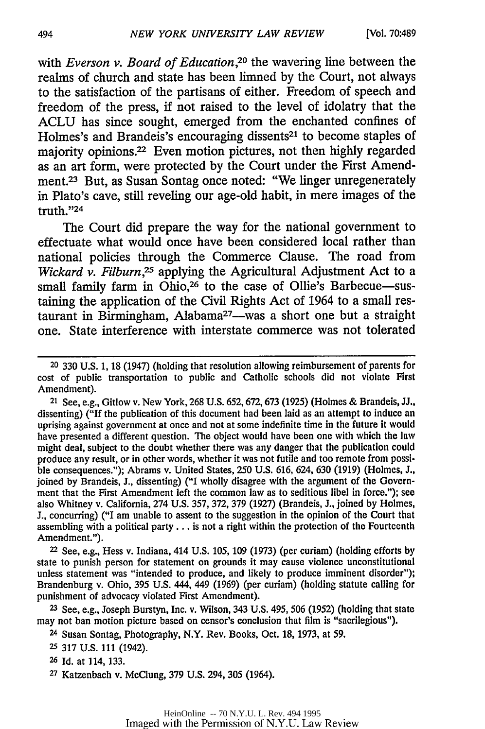with *Everson v. Board of Education*,<sup>20</sup> the wavering line between the realms of church and state has been limned **by** the Court, not always to the satisfaction of the partisans of either. Freedom of speech and freedom of the press, if not raised to the level of idolatry that the **ACLU** has since sought, emerged from the enchanted confines of Holmes's and Brandeis's encouraging dissents<sup>21</sup> to become staples of majority opinions.<sup>22</sup> Even motion pictures, not then highly regarded as an art form, were protected **by** the Court under the First Amendment.23 But, as Susan Sontag once noted: "We linger unregenerately in Plato's cave, still reveling our age-old habit, in mere images of the truth."<sup>24</sup>

The Court did prepare the way for the national government to effectuate what would once have been considered local rather than national policies through the Commerce Clause. The road from *Wickard v. Filburn,25* applying the Agricultural Adjustment Act to a small family farm in Ohio,<sup>26</sup> to the case of Ollie's Barbecue-sustaining the application of the Civil Rights Act of 1964 to a small restaurant in Birmingham, Alabama<sup>27</sup>—was a short one but a straight one. State interference with interstate commerce was not tolerated

<sup>21</sup>See, e.g., Gitlow v. New York, 268 U.S. 652,672,673 (1925) (Holmes & Brandeis, JJ., dissenting) ("If the publication of this document had been laid as an attempt to induce an uprising against government at once and not at some indefinite time in the future it would have presented a different question. The object would have been one with which the **law** might deal, subject to the doubt whether there was any danger that the publication could produce any result, or in other words, whether it was not futile and too remote from possible consequences."); Abrams v. United States, **250** U.S. 616, 624, **630** (1919) (Holmes, **J.,** joined by Brandeis, J., dissenting) ("I wholly disagree with the argument of the Government that the First Amendment left the common law as to seditious libel in force."); see also Whitney v. California, 274 U.S. 357, 372, 379 (1927) (Brandeis, **J.,** joined by Holmes, J., concurring) ("I am unable to assent to the suggestion in the opinion of the Court that assembling with a political party... is not a right within the protection of the Fourteenth Amendment.").

<sup>22</sup>See, e.g., Hess v. Indiana, 414 U.S. 105, **109** (1973) (per curiam) (holding efforts by state to punish person for statement on grounds it may cause violence unconstitutional unless statement was "intended to produce, and likely to produce imminent disorder"); Brandenburg v. Ohio, **395** U.S. 444, 449 (1969) (per curiam) (holding statute calling for punishment of advocacy violated First Amendment).

**<sup>23</sup>**See, e.g., Joseph Burstyn, Inc. v. Wilson, 343 U.S. 495, **506** (1952) (holding that state may not ban motion picture based on censor's conclusion that film is "sacrilegious").

**<sup>24</sup>**Susan Sontag, Photography, N.Y. Rev. Books, Oct. 18, 1973, at 59.

**<sup>25</sup>**317 U.S. 111 (1942).

**<sup>26</sup>**Id. at 114, 133.

**<sup>27</sup>**Katzenbach v. McClung, 379 U.S. 294, **305** (1964).

**<sup>20</sup>330** U.S. 1, 18 (1947) (holding that resolution allowing reimbursement of parents for cost of public transportation to public and Catholic schools did not violate First Amendment).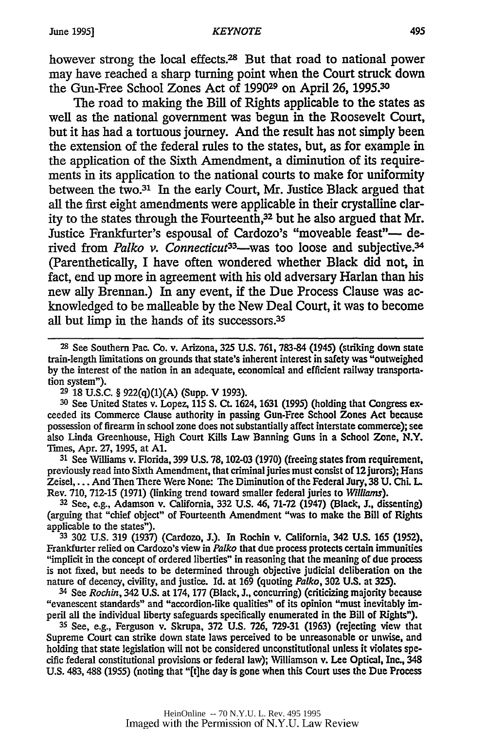however strong the local effects.28 But that road to national power may have reached a sharp turning point when the Court struck down the Gun-Free School Zones Act of 199029 on April 26, **1995.30**

The road to making the Bill of Rights applicable to the states as well as the national government was begun in the Roosevelt Court, but it has had a tortuous journey. And the result has not simply been the extension of the federal rules to the states, but, as for example in the application of the Sixth Amendment, a diminution of its requirements in its application to the national courts to make for uniformity between the two.<sup>31</sup> In the early Court, Mr. Justice Black argued that all the first eight amendments were applicable in their crystalline clarity to the states through the Fourteenth,<sup>32</sup> but he also argued that Mr. Justice Frankfurter's espousal of Cardozo's "moveable feast"- derived from *Palko v. Connecticut*<sup>33</sup>—was too loose and subjective.<sup>34</sup> (Parenthetically, I have often wondered whether Black did not, in fact, end up more in agreement with his old adversary Harlan than his new ally Brennan.) In any event, if the Due Process Clause was acknowledged to be malleable by the New Deal Court, it was to become all but limp in the hands of its successors.<sup>35</sup>

**<sup>29</sup>**18 U.S.C. § 922(q)(1)(A) (Supp. V 1993).

**30** See United States v. Lopez, 115 S. Ct. **1624,** 1631 (1995) (holding that Congress exceeded its Commerce Clause authority in passing Gun-Free School Zones Act because possession of firearm in school zone does not substantially affect interstate commerce); see also Linda Greenhouse, High Court Kills Law Banning Guns in a School Zone, N.Y. Times, Apr. **27,** 1995, at **Al.**

**<sup>31</sup>**See Williams v. Florida, 399 U.S. 78, 102-03 (1970) (freeing states from requirement, previously read into Sixth Amendment, that criminal juries must consist of 12 jurors); Hans Zeisel,... And Then There Were None: The Diminution of the Federal Jury, 38 U. Chi. L. Rev. 710, 712-15 (1971) (linking trend toward smaller federal juries to *Williams).*

**<sup>32</sup>**See, e.g., Adamson v. California, 332 **U.S.** 46, 71-72 (1947) (Black, J., dissenting) (arguing that "chief object" of Fourteenth Amendment "was to make the Bill of Rights applicable to the states").

**<sup>33</sup>**302 U.S. 319 (1937) (Cardozo, J.). In Rochin v. California, 342 U.S. 165 (1952), Frankfurter relied on Cardozo's view in *Palko* that due process protects certain immunities "implicit in the concept of ordered liberties" in reasoning that the meaning of due process is not fixed, but needs to be determined through objective judicial deliberation on the nature of decency, civility, and justice. Id. at 169 (quoting *Palko,* **302 U.S.** at **325).**

<sup>34</sup>See *Rochin,* 342 U.S. at 174, 177 (Black, J., concurring) (criticizing majority because "evanescent standards" and "accordion-like qualities" of its opinion "must inevitably imperil all the individual liberty safeguards specifically enumerated in the Bill of Rights").

**<sup>35</sup>**See, e.g., Ferguson v. Skrupa, 372 **U.S.** 726, 729-31 (1963) (rejecting view that Supreme Court can strike down state laws perceived to be unreasonable or unwise, and holding that state legislation will not be considered unconstitutional unless it violates specific federal constitutional provisions or federal law); NWilliamson v. Lee Optical, Inc., 348 U.S. 483,488 (1955) (noting that "[t]he day is gone when this Court uses the Due Process

**<sup>28</sup>**See Southern Pac. Co. v. Arizona, **325 U.S.** 761, 783-84 (1945) (striking down state train-length limitations on grounds that state's inherent interest in safety was "outweighed by the interest of the nation in an adequate, economical and efficient railway transportation system").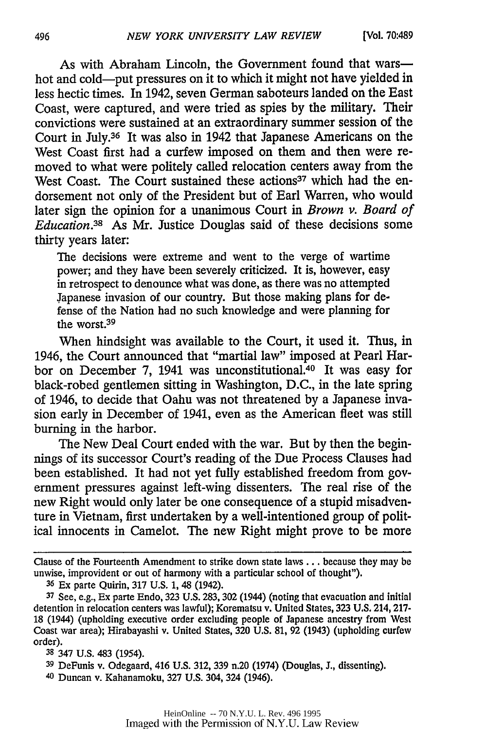As with Abraham Lincoln, the Government found that warshot and cold-put pressures on it to which it might not have yielded in less hectic times. In 1942, seven German saboteurs landed on the East Coast, were captured, and were tried as spies by the military. Their convictions were sustained at an extraordinary summer session of the Court in July.36 It was also in 1942 that Japanese Americans on the West Coast first had a curfew imposed on them and then were removed to what were politely called relocation centers away from the West Coast. The Court sustained these actions<sup>37</sup> which had the endorsement not only of the President but of Earl Warren, who would later sign the opinion for a unanimous Court in *Brown v. Board of Education.38* As Mr. Justice Douglas said of these decisions some thirty years later:

The decisions were extreme and went to the verge of wartime power; and they have been severely criticized. It is, however, easy in retrospect to denounce what was done, as there was no attempted Japanese invasion of our country. But those making plans for defense of the Nation had no such knowledge and were planning for the worst.<sup>39</sup>

When hindsight was available to the Court, it used it. Thus, in 1946, the Court announced that "martial law" imposed at Pearl Harbor on December 7, 1941 was unconstitutional.40 It was easy for black-robed gentlemen sitting in Washington, D.C., in the late spring of 1946, to decide that Oahu was not threatened by a Japanese invasion early in December of 1941, even as the American fleet was still burning in the harbor.

The New Deal Court ended with the war. But by then the beginnings of its successor Court's reading of the Due Process Clauses had been established. It had not yet fully established freedom from government pressures against left-wing dissenters. The real rise of the new Right would only later be one consequence of a stupid misadventure in Vietnam, first undertaken by a well-intentioned group of political innocents in Camelot. The new Right might prove to be more

Clause of the Fourteenth Amendment to strike down state laws... because they may be unwise, improvident or out of harmony with a particular school of thought").

**<sup>36</sup>**Ex parte Quirin, 317 U.S. 1, 48 (1942).

**<sup>37</sup>**See, e.g., Ex parte Endo, 323 U.S. 283, **302** (1944) (noting that evacuation and initial detention in relocation centers was lawful); Korematsu v. United States, 323 U.S. 214, 217- 18 (1944) (upholding executive order excluding people of Japanese ancestry from West Coast war area); Hirabayashi v. United States, 320 U.S. 81, 92 (1943) (upholding curfew order).

**<sup>38</sup>**347 U.S. 483 (1954).

**<sup>39</sup>**DeFunis v. Odegaard, 416 U.S. 312, 339 n.20 (1974) (Douglas, J., dissenting).

<sup>40</sup> Duncan v. Kahanamoku, 327 U.S. 304, 324 (1946).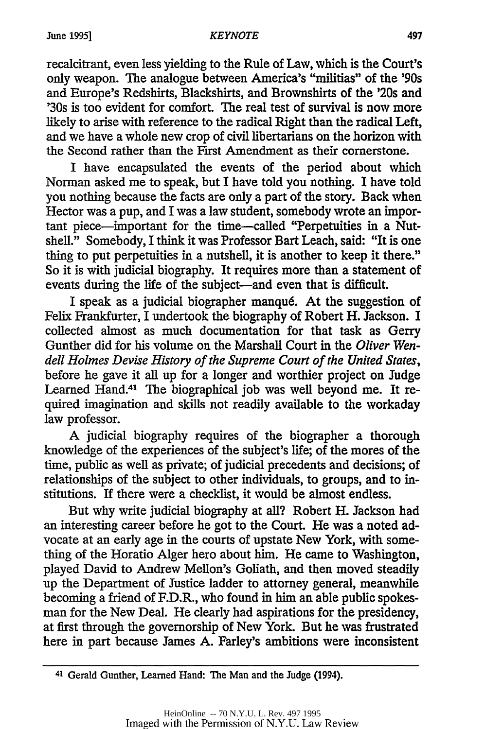recalcitrant, even less yielding to the Rule of Law, which is the Court's only weapon. The analogue between America's "militias" of the '90s and Europe's Redshirts, Blackshirts, and Brownshirts of the '20s and '30s is too evident for comfort. The real test of survival is now more likely to arise with reference to the radical Right than the radical Left, and we have a whole new crop of civil libertarians on the horizon with the Second rather than the First Amendment as their cornerstone.

I have encapsulated the events of the period about which Norman asked me to speak, but I have told you nothing. I have told you nothing because the facts are only a part of the story. Back when Hector was a pup, and I was a law student, somebody wrote an important piece-important for the time--called "Perpetuities in a Nutshell." Somebody, I think it was Professor Bart Leach, said: "It is one thing to put perpetuities in a nutshell, it is another to keep it there." So it is with judicial biography. It requires more than a statement of events during the life of the subject-and even that is difficult.

I speak as a judicial biographer manqu6. At the suggestion of Felix Frankfurter, I undertook the biography of Robert H. Jackson. I collected almost as much documentation for that task as Gerry Gunther did for his volume on the Marshall Court in the *Oliver Wendell Holmes Devise History of the Supreme Court of the United States,* before he gave it all up for a longer and worthier project on Judge Learned Hand.41 The biographical job was well beyond me. It required imagination and skills not readily available to the workaday law professor.

A judicial biography requires of the biographer a thorough knowledge of the experiences of the subject's life; of the mores of the time, public as well as private; of judicial precedents and decisions; of relationships of the subject to other individuals, to groups, and to institutions. If there were a checklist, it would be almost endless.

But why write judicial biography at all? Robert H. Jackson had an interesting career before he got to the Court. He was a noted advocate at an early age in the courts of upstate New York, with something of the Horatio Alger hero about him. He came to Washington, played David to Andrew Mellon's Goliath, and then moved steadily up the Department of Justice ladder to attorney general, meanwhile becoming a friend of F.D.R., who found in him an able public spokesman for the New Deal. He clearly had aspirations for the presidency, at first through the governorship of New York. But he was frustrated here in part because James A. Farley's ambitions were inconsistent

<sup>41</sup> Gerald Gunther, Learned Hand: The Man and the Judge (1994).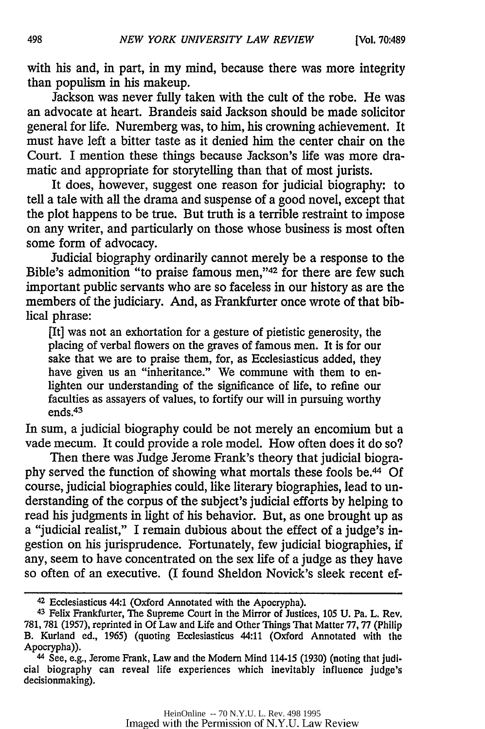with his and, in part, in my mind, because there was more integrity than populism in his makeup.

Jackson was never fully taken with the cult of the robe. He was an advocate at heart. Brandeis said Jackson should be made solicitor general for life. Nuremberg was, to him, his crowning achievement. It must have left a bitter taste as it denied him the center chair on the Court. I mention these things because Jackson's life was more dramatic and appropriate for storytelling than that of most jurists.

It does, however, suggest one reason for judicial biography: to tell a tale with all the drama and suspense of a good novel, except that the plot happens to be true. But truth is a terrible restraint to impose on any writer, and particularly on those whose business is most often some form of advocacy.

Judicial biography ordinarily cannot merely be a response to the Bible's admonition "to praise famous men,"<sup>42</sup> for there are few such important public servants who are so faceless in our history as are the members of the judiciary. And, as Frankfurter once wrote of that biblical phrase:

[It] was not an exhortation for a gesture of pietistic generosity, the placing of verbal flowers on the graves of famous men. It is for our sake that we are to praise them, for, as Ecclesiasticus added, they have given us an "inheritance." We commune with them to enlighten our understanding of the significance of life, to refine our faculties as assayers of values, to fortify our will in pursuing worthy ends. <sup>43</sup>

In sum, a judicial biography could be not merely an encomium but a vade mecum. It could provide a role model. How often does it do so?

Then there was Judge Jerome Frank's theory that judicial biography served the function of showing what mortals these fools be.44 Of course, judicial biographies could, like literary biographies, lead to understanding of the corpus of the subject's judicial efforts by helping to read his judgments in light of his behavior. But, as one brought up as a "judicial realist," I remain dubious about the effect of a judge's ingestion on his jurisprudence. Fortunately, few judicial biographies, if any, seem to have concentrated on the sex life of a judge as they have so often of an executive. (I found Sheldon Novick's sleek recent ef-

<sup>42</sup>Ecclesiasticus 44:1 (Oxford Annotated with the Apocrypha).

**<sup>43</sup>**Felix Frankfurter, The Supreme Court in the Mirror of Justices, 105 U. Pa. L. Rev. 781, 781 (1957), reprinted in Of Law and Life and Other Things That Matter 77,77 (Philip B. Kurland ed., 1965) (quoting Ecclesiasticus 44:11 (Oxford Annotated with the Apocrypha)).

<sup>44</sup> See, e.g., Jerome Frank, Law and the Modem Mind 114-15 (1930) (noting that judicial biography can reveal life experiences which inevitably influence judge's decisionmaking).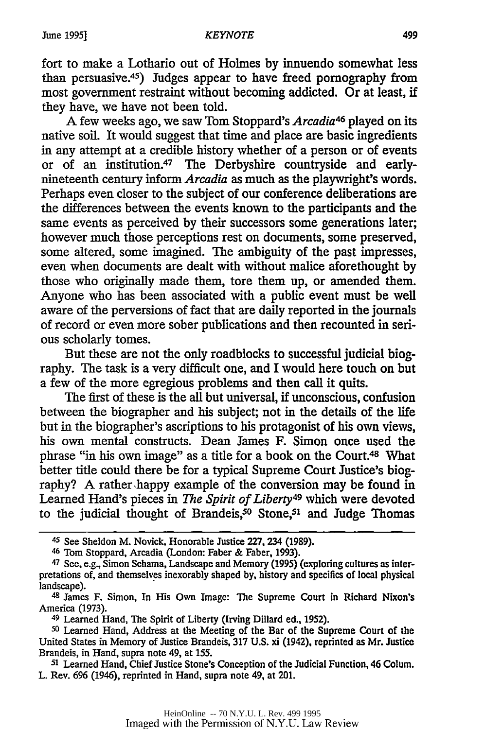fort to make a Lothario out of Holmes by innuendo somewhat less than persuasive.<sup>45</sup>) Judges appear to have freed pornography from most government restraint without becoming addicted. Or at least, if they have, we have not been told.

A few weeks ago, we saw Tom Stoppard's *Arcadia<sup>46</sup>* played on its native soil. It would suggest that time and place are basic ingredients in any attempt at a credible history whether of a person or of events or of an institution.<sup>47</sup> The Derbyshire countryside and earlynineteenth century inform *Arcadia* as much as the playwright's words. Perhaps even closer to the subject of our conference deliberations are the differences between the events known to the participants and the same events as perceived by their successors some generations later; however much those perceptions rest on documents, some preserved, some altered, some imagined. The ambiguity of the past impresses, even when documents are dealt with without malice aforethought by those who originally made them, tore them up, or amended them. Anyone who has been associated with a public event must be well aware of the perversions of fact that are daily reported in the journals of record or even more sober publications and then recounted in serious scholarly tomes.

But these are not the only roadblocks to successful judicial biography. The task is a very difficult one, and I would here touch on but a few of the more egregious problems and then call it quits.

The first of these is the all but universal, if unconscious, confusion between the biographer and his subject; not in the details of the life but in the biographer's ascriptions to his protagonist of his own views, his own mental constructs. Dean James F. Simon once used the phrase "in his own image" as a title for a book on the Court.48 What better title could there be for a typical Supreme Court Justice's biography? A rather happy example of the conversion may be found in Learned Hand's pieces in *The Spirit of Liberty49* which were devoted to the judicial thought of Brandeis,<sup>50</sup> Stone,<sup>51</sup> and Judge Thomas

46 Tom Stoppard, Arcadia (London: Faber & Faber, 1993).

49 Learned Hand, The Spirit of Liberty (Irving Dillard ed., 1952).

**<sup>50</sup>**Learned Hand, Address at the Meeting of the Bar of the Supreme Court of the United States in Memory of Justice Brandeis, 317 **U.S.** xi (1942), reprinted as Mr. Justice Brandeis, in Hand, supra note 49, at 155.

**<sup>51</sup>**Learned Hand, Chief Justice Stone's Conception of the Judicial Function, 46 Colum. L. Rev. **696** (1946), reprinted in Hand, supra note 49, at 201.

<sup>45</sup> See Sheldon M. Novick, Honorable Justice 227, 234 (1989).

<sup>47</sup> See, e.g., Simon Schama, Landscape and Memory (1995) (exploring cultures as interpretations of, and themselves inexorably shaped by, history and specifics of local physical landscape).

<sup>48</sup>James F. Simon, In His Own Image: The Supreme Court in Richard Nixon's America (1973).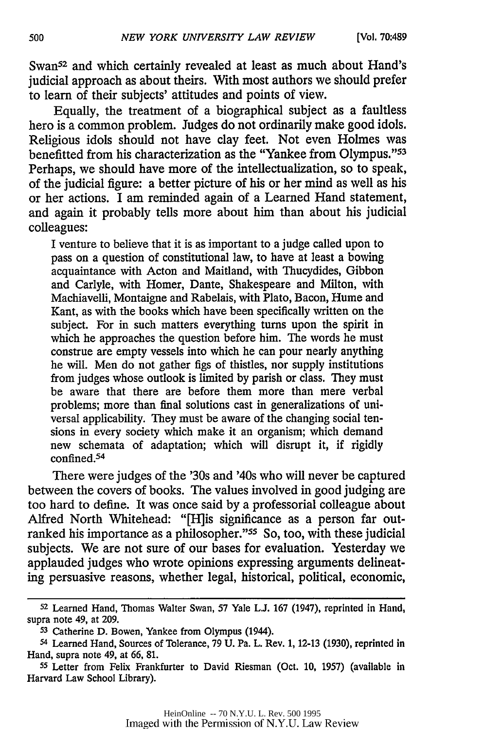Swan<sup>52</sup> and which certainly revealed at least as much about Hand's judicial approach as about theirs. With most authors we should prefer to learn of their subjects' attitudes and points of view.

Equally, the treatment of a biographical subject as a faultless hero is a common problem. Judges do not ordinarily make good idols. Religious idols should not have clay feet. Not even Holmes was benefitted from his characterization as the "Yankee from Olympus."<sup>53</sup> Perhaps, we should have more of the intellectualization, so to speak, of the judicial figure: a better picture of his or her mind as well as his or her actions. I am reminded again of a Learned Hand statement, and again it probably tells more about him than about his judicial colleagues:

I venture to believe that it is as important to a judge called upon to pass on a question of constitutional law, to have at least a bowing acquaintance with Acton and Maitland, with Thucydides, Gibbon and Carlyle, with Homer, Dante, Shakespeare and Milton, with Machiavelli, Montaigne and Rabelais, with Plato, Bacon, Hume and Kant, as with the books which have been specifically written on the subject. For in such matters everything turns upon the spirit in which he approaches the question before him. The words he must construe are empty vessels into which he can pour nearly anything he will. Men do not gather figs of thistles, nor supply institutions from judges whose outlook is limited by parish or class. They must be aware that there are before them more than mere verbal problems; more than final solutions cast in generalizations of universal applicability. They must be aware of the changing social tensions in every society which make it an organism; which demand new schemata of adaptation; which will disrupt it, if rigidly confined.<sup>54</sup>

There were judges of the '30s and '40s who will never be captured between the covers of books. The values involved in good judging are too hard to define. It was once said by a professorial colleague about Alfred North Whitehead: "[H]is significance as a person far outranked his importance as a philosopher."<sup>55</sup> So, too, with these judicial subjects. We are not sure of our bases for evaluation. Yesterday we applauded judges who wrote opinions expressing arguments delineating persuasive reasons, whether legal, historical, political, economic,

**<sup>52</sup>**Learned Hand, Thomas Walter Swan, **57** Yale **LJ.** 167 (1947), reprinted in Hand, supra note 49, at 209.

**<sup>53</sup>**Catherine D. Bowen, Yankee from Olympus (1944).

**<sup>54</sup>**Learned Hand, Sources of Tolerance, 79 U. Pa. L. Rev. 1, 12-13 (1930), reprinted in Hand, supra note 49, at 66, 81.

**<sup>55</sup>**Letter from Felix Frankfurter to David Riesman (Oct. 10, 1957) (available in Harvard Law School Library).